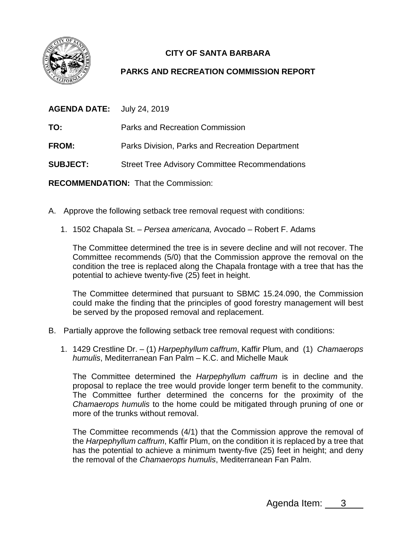

## **CITY OF SANTA BARBARA**

## **PARKS AND RECREATION COMMISSION REPORT**

| <b>AGENDA DATE:</b>                         | July 24, 2019                                         |
|---------------------------------------------|-------------------------------------------------------|
| TO:                                         | Parks and Recreation Commission                       |
| FROM:                                       | Parks Division, Parks and Recreation Department       |
| <b>SUBJECT:</b>                             | <b>Street Tree Advisory Committee Recommendations</b> |
| <b>RECOMMENDATION: That the Commission:</b> |                                                       |

- A. Approve the following setback tree removal request with conditions:
	- 1. 1502 Chapala St. *Persea americana,* Avocado *–* Robert F. Adams

The Committee determined the tree is in severe decline and will not recover. The Committee recommends (5/0) that the Commission approve the removal on the condition the tree is replaced along the Chapala frontage with a tree that has the potential to achieve twenty-five (25) feet in height.

The Committee determined that pursuant to SBMC 15.24.090, the Commission could make the finding that the principles of good forestry management will best be served by the proposed removal and replacement.

- B. Partially approve the following setback tree removal request with conditions:
	- 1. 1429 Crestline Dr. (1) *Harpephyllum caffrum*, Kaffir Plum, and (1) *Chamaerops humulis*, Mediterranean Fan Palm – K.C. and Michelle Mauk

The Committee determined the *Harpephyllum caffrum* is in decline and the proposal to replace the tree would provide longer term benefit to the community. The Committee further determined the concerns for the proximity of the *Chamaerops humulis* to the home could be mitigated through pruning of one or more of the trunks without removal.

The Committee recommends (4/1) that the Commission approve the removal of the *Harpephyllum caffrum*, Kaffir Plum, on the condition it is replaced by a tree that has the potential to achieve a minimum twenty-five (25) feet in height; and deny the removal of the *Chamaerops humulis*, Mediterranean Fan Palm.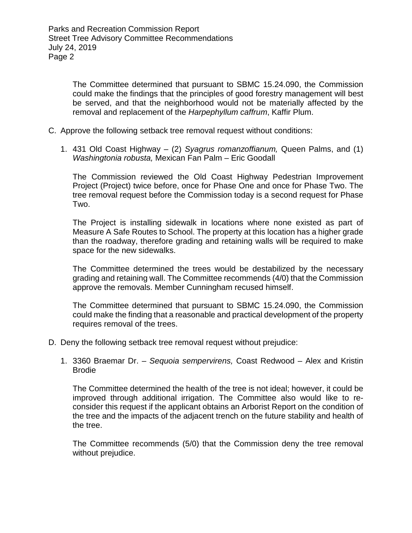The Committee determined that pursuant to SBMC 15.24.090, the Commission could make the findings that the principles of good forestry management will best be served, and that the neighborhood would not be materially affected by the removal and replacement of the *Harpephyllum caffrum*, Kaffir Plum.

- C. Approve the following setback tree removal request without conditions:
	- 1. 431 Old Coast Highway (2) *Syagrus romanzoffianum,* Queen Palms, and (1) *Washingtonia robusta,* Mexican Fan Palm – Eric Goodall

The Commission reviewed the Old Coast Highway Pedestrian Improvement Project (Project) twice before, once for Phase One and once for Phase Two. The tree removal request before the Commission today is a second request for Phase Two.

The Project is installing sidewalk in locations where none existed as part of Measure A Safe Routes to School. The property at this location has a higher grade than the roadway, therefore grading and retaining walls will be required to make space for the new sidewalks.

The Committee determined the trees would be destabilized by the necessary grading and retaining wall. The Committee recommends (4/0) that the Commission approve the removals. Member Cunningham recused himself.

The Committee determined that pursuant to SBMC 15.24.090, the Commission could make the finding that a reasonable and practical development of the property requires removal of the trees.

- D. Deny the following setback tree removal request without prejudice:
	- 1. 3360 Braemar Dr. *Sequoia sempervirens,* Coast Redwood Alex and Kristin Brodie

The Committee determined the health of the tree is not ideal; however, it could be improved through additional irrigation. The Committee also would like to reconsider this request if the applicant obtains an Arborist Report on the condition of the tree and the impacts of the adjacent trench on the future stability and health of the tree.

The Committee recommends (5/0) that the Commission deny the tree removal without prejudice.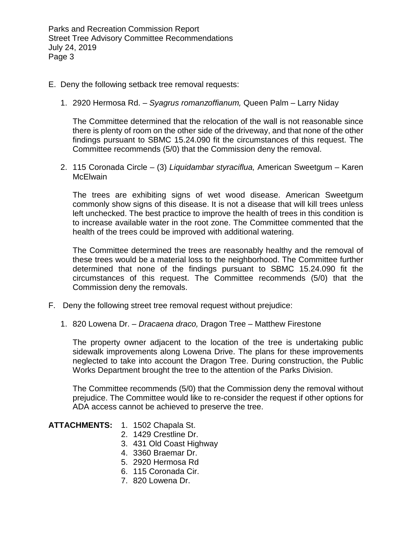Parks and Recreation Commission Report Street Tree Advisory Committee Recommendations July 24, 2019 Page 3

- E. Deny the following setback tree removal requests:
	- 1. 2920 Hermosa Rd. *Syagrus romanzoffianum,* Queen Palm Larry Niday

The Committee determined that the relocation of the wall is not reasonable since there is plenty of room on the other side of the driveway, and that none of the other findings pursuant to SBMC 15.24.090 fit the circumstances of this request. The Committee recommends (5/0) that the Commission deny the removal.

2. 115 Coronada Circle – (3) *Liquidambar styraciflua,* American Sweetgum – Karen McElwain

The trees are exhibiting signs of wet wood disease. American Sweetgum commonly show signs of this disease. It is not a disease that will kill trees unless left unchecked. The best practice to improve the health of trees in this condition is to increase available water in the root zone. The Committee commented that the health of the trees could be improved with additional watering.

The Committee determined the trees are reasonably healthy and the removal of these trees would be a material loss to the neighborhood. The Committee further determined that none of the findings pursuant to SBMC 15.24.090 fit the circumstances of this request. The Committee recommends (5/0) that the Commission deny the removals.

- F. Deny the following street tree removal request without prejudice:
	- 1. 820 Lowena Dr. *Dracaena draco,* Dragon Tree Matthew Firestone

The property owner adjacent to the location of the tree is undertaking public sidewalk improvements along Lowena Drive. The plans for these improvements neglected to take into account the Dragon Tree. During construction, the Public Works Department brought the tree to the attention of the Parks Division.

The Committee recommends (5/0) that the Commission deny the removal without prejudice. The Committee would like to re-consider the request if other options for ADA access cannot be achieved to preserve the tree.

- **ATTACHMENTS:** 1. 1502 Chapala St.
	- 2. 1429 Crestline Dr.
	- 3. 431 Old Coast Highway
	- 4. 3360 Braemar Dr.
	- 5. 2920 Hermosa Rd
	- 6. 115 Coronada Cir.
	- 7. 820 Lowena Dr.